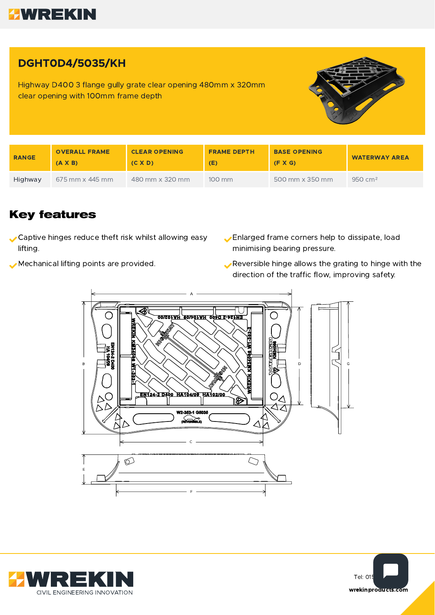

## DGHT0D4/5035/KH

Highway D400 3 flange gully grate clear opening 480mm x 320mm clear opening with 100mm frame depth



| <b>RANGE</b> | <b>OVERALL FRAME</b><br>$(A \times B)$ | <b>CLEAR OPENING</b><br>$(C \times D)$ | <b>FRAME DEPTH</b><br>(E) | <b>BASE OPENING</b><br>(F X G) | <b>WATERWAY AREA</b> |
|--------------|----------------------------------------|----------------------------------------|---------------------------|--------------------------------|----------------------|
| Highway      | 675 mm x 445 mm                        | 480 mm x 320 mm                        | $100 \text{ mm}$          | 500 mm x 350 mm                | $950 \, \text{cm}^2$ |

#### **Key features**

- Captive hinges reduce theft risk whilst allowing easy lifting.
- 
- Enlarged frame corners help to dissipate, load minimising bearing pressure.
- Mechanical lifting points are provided. Reversible hinge allows the grating to hinge with the direction of the traffic flow, improving safety.





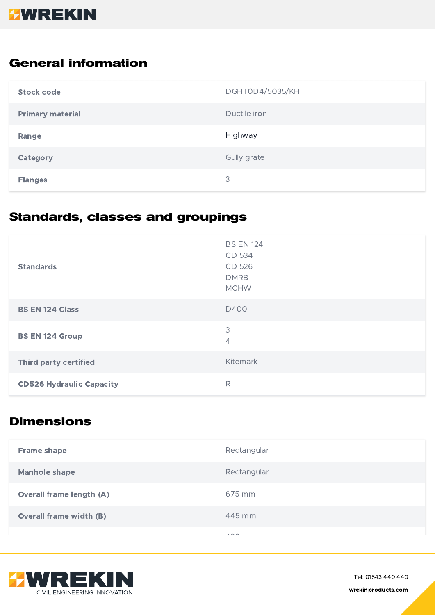# **HWREKIN**

### **General information**

| <b>Stock code</b>       | <b>DGHT0D4/5035/KH</b> |
|-------------------------|------------------------|
| <b>Primary material</b> | Ductile iron           |
| Range                   | <b>Highway</b>         |
| Category                | Gully grate            |
| <b>Flanges</b>          | 3                      |

## **Standards, classes and groupings**

| <b>Standards</b>                | <b>BS EN 124</b><br>CD 534<br>CD 526<br><b>DMRB</b><br><b>MCHW</b> |
|---------------------------------|--------------------------------------------------------------------|
| <b>BS EN 124 Class</b>          | D400                                                               |
| <b>BS EN 124 Group</b>          | 3<br>4                                                             |
| <b>Third party certified</b>    | Kitemark                                                           |
| <b>CD526 Hydraulic Capacity</b> | R                                                                  |

#### **Dimensions**

| <b>Frame shape</b>              | Rectangular             |
|---------------------------------|-------------------------|
| <b>Manhole shape</b>            | Rectangular             |
| <b>Overall frame length (A)</b> | 675 mm                  |
| <b>Overall frame width (B)</b>  | 445 mm                  |
|                                 | 100<br>and the state of |



Tel: 01543 440 440 wrekinproducts.com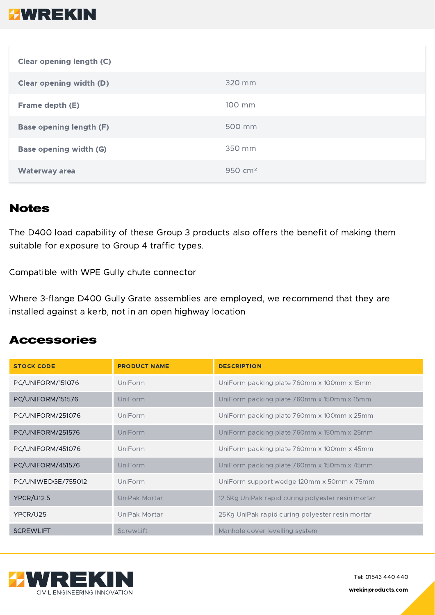## **HWREKIN**

| Clear opening length (C)       |                     |
|--------------------------------|---------------------|
| <b>Clear opening width (D)</b> | 320 mm              |
| Frame depth (E)                | 100 mm              |
| <b>Base opening length (F)</b> | 500 mm              |
| <b>Base opening width (G)</b>  | 350 mm              |
| <b>Waterway area</b>           | 950 cm <sup>2</sup> |

### **Notes**

The D400 load capability of these Group 3 products also offers the benefit of making them suitable for exposure to Group 4 traffic types.

Compatible with WPE Gully chute connector

Where 3-flange D400 Gully Grate assemblies are employed, we recommend that they are installed against a kerb, not in an open highway location

#### **Accessories**

| <b>STOCK CODE</b>  | <b>PRODUCT NAME</b> | <b>DESCRIPTION</b>                                |
|--------------------|---------------------|---------------------------------------------------|
| PC/UNIFORM/151076  | UniForm             | UniForm packing plate 760mm x 100mm x 15mm        |
| PC/UNIFORM/151576  | UniForm             | UniForm packing plate 760mm x 150mm x 15mm        |
| PC/UNIFORM/251076  | UniForm             | UniForm packing plate 760mm x 100mm x 25mm        |
| PC/UNIFORM/251576  | UniForm             | UniForm packing plate 760mm x 150mm x 25mm        |
| PC/UNIFORM/451076  | UniForm             | UniForm packing plate 760mm x 100mm x 45mm        |
| PC/UNIFORM/451576  | UniForm             | UniForm packing plate 760mm x 150mm x 45mm        |
| PC/UNIWEDGE/755012 | UniForm             | UniForm support wedge 120mm x 50mm x 75mm         |
| <b>YPCR/U12.5</b>  | UniPak Mortar       | 12.5Kg UniPak rapid curing polyester resin mortar |
| YPCR/U25           | UniPak Mortar       | 25Kg UniPak rapid curing polyester resin mortar   |
| <b>SCREWLIFT</b>   | ScrewLift           | Manhole cover levelling system                    |



Tel: 01543 440 440 wrekinproducts.com